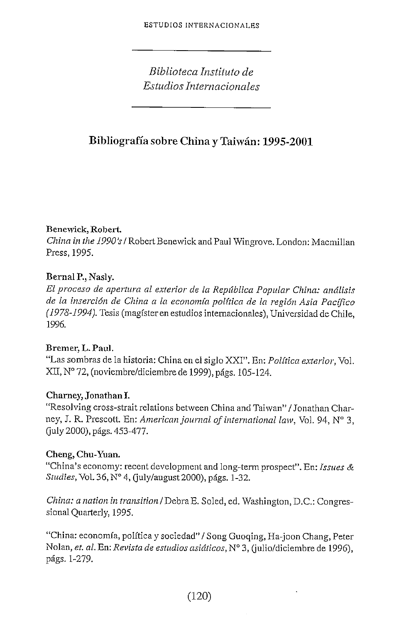*Biblioteca Instituto de Estudios Internacionales*

# **Bibliografía sobre China y Taiwán: 1995-2001**

### **Benewick, Robert**

*China in the 1990's* / Robert Benewick and Paul Wingrove. London: Macmillan Press, 1995.

### Bernal P., Nasly.

*El proceso de apertura al exterior de la República Popular China: análisis de la inserción de China a la economía política de la región Asia Pacífico (1978-1994).* Tesis (magíster en estudios internacionales), Universidad de Chile, 1996.

#### **Bremer, L. Paul.**

"Las sombras de la historia: China en el siglo XXI". En: *Política exterior,* Yol. XII, N° 72, (noviembre/diciembre de 1999), págs. 105-124.

#### Charney, Jonathan I.

"Resolving cross-strait relations between China and Taiwan" / Jonathan Charney, J. R. Prescott. En: *American Journal of International law,* Vol. 94, N° 3, Guly 2000), págs. 453-477.

# **Cheng, Chu-Yuan.**

"China's economy: recent development and long-term prospect". En: *Issues & Studies,* Vol. 36, N° 4, Quly/august 2000), págs. 1-32.

*China: a nailon in transitlon/'Débra.E.* Soled, ed. Washington, D.C.: Congressional Quarterly, 1995.

"China: economía, política y sociedad" / Song Guoqing, Ha-joon Chang, Peter Nolan, *et. al.* En: *Revista de estudios asiáticos,* N° 3, (julio/diciembre de 1996), págs. 1-279.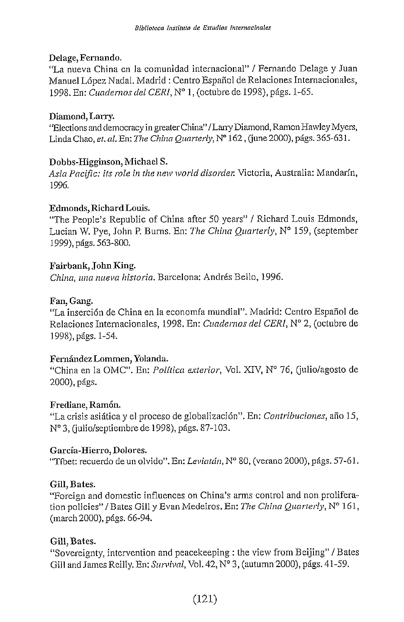#### Delage, Fernando.

"La nueva China en la comunidad internacional" / Fernando Delage y Juan Manuel López Nadal. Madrid : Centro Español de Relaciones Internacionales, 1998. En: *Cuadernos del CERI,* N° 1, (octubre de 1998), págs. 1-65.

### **Diamond, Larry.**

"Elections and democracy in greater China" /Larry Diamond, Ramón Hawley Myers, Linda Chao, *et.* a/. En: *The China Quarterly,* N° 162, (june 2000), págs. 365-631.

### **Dobbs-Higginson, Michael S.**

*Asia Pacific: its role in the new world disorder.* Victoria, Australia: Mandarín, 1996.

#### **Fdmonds, Richard Louis.**

"The People's Republic of China after 50 years" / Richard Louis Edmonds, Lucían W. Pye, John P. Burns. En: *The China Quarterly,* N° 159, (september 1999), págs. 563-800.

### **Fairbank,** John **King.**

*China, una nueva historia.* Barcelona: Andrés Bello, 1996.

### **Fan, Gang.**

"La inserción de China en la economía mundial". Madrid: Centro Español de Relaciones Internacionales, 1998. En: *Cuadernos del CERI,* N° 2, (octubre de 1998), págs. 1-54.

# Fernández **Lommen,** Yolanda.

"China en la OMC". En: *Política exterior,* Vol. XIV, N° 76, Quilo/agosto de 2000), págs.

#### **Frediane,** Ramón.

"Lacrisis asiáticay el proceso deglobalización".En: *Contribuciones,* año 15, Nº 3, (julio/septiembre de 1998), págs. 87-103.

#### **García-Hierro, Dolores.**

"Tíbet: recuerdo de un olvido". En: *Leviatán,* N° 80, (verano 2000), págs. 57-61.

# **Gilí, Bates.**

"Foreign and domestic influences on China's arms control and non proliferationpolicies"/Bates Gilí y Evan Medeiros. En: *The China Quarterly,* N° 161, (march 2000), págs. 66-94.

# **Gilí, Bates.**

"Sovereignty, intervention and peacekeeping : the view from Beijing" / Bates Gill and James Reilly. En: Survival, Vol. 42, N° 3, (autumn 2000), págs. 41-59.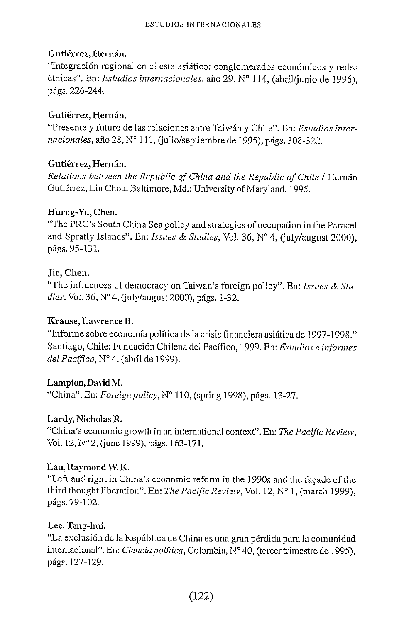# Gutiérrez, Hernán.

"Integración regional en el este asiático: conglomerados económicos y redes étnicas". En: *Estudios internacionales,* año 29, N° 114, (abril/junio de 1996), págs. 226-244.

### Gutiérrez, Hernán.

"Presente y futuro de las relaciones entre Taiwán y Chile". En: *Estudios inter*nacionales, año 28, Nº 111, (julio/septiembre de 1995), págs. 308-322.

### Gutiérrez, Hernán.

*Relations bet\veen the Republic of China and the Republic of Chile I* Hernán Gutiérrez, Lin Chou. Baltimore, Md.: Universíty of Maryland, 1995,

### Hurng-Yu, Chen.

"The PRC's South China Sea policy and strategies of occupation in the Paracel and Spratly Islands". En: *hsues & Studies,* Vol. 36, N° 4, Guly/august 2000), págs. 95-131.

### Jie, Chen.

"The influences of democracy on Taiwan's foreign policy". En: *Issues & Studies,Vol.* 36,N°4, (july/august2000), págs. 1-32.

# Krause, LawrenceB.

"Informe sobre economía política de la crisis financiera asiática de 1997-1998." Santiago, Chile: Fundación Chilena del Pacífico, 1999. En: *Estudios e infonnes del Pacífico*, Nº 4, (abril de 1999).

#### Lampton, David M.

"China". En: *Foreign policy,* N° 110, (spring 1998), págs. 13-27.

#### Lardy, Nicholas R.

"China's economic growth in an international context". En: *The Pacific Review,* Vol. 12, N° 2, (june 1999), págs. 163-171.

#### Lau, Raymond W.K.

"Left and right in China's economic reform in the 1990s and the facade of the third thought liberation". En: *The Pacific Review,* Vol. 12, N° 1, (march 1999), págs. 79- 102.

# Lee, Teng-hui.

"La exclusión de la República de China es una gran pérdida para la comunidad internacional". En: *Ciencia política,* Colombia, N° 40, (tercer trimestre de 1995), págs. 127-129.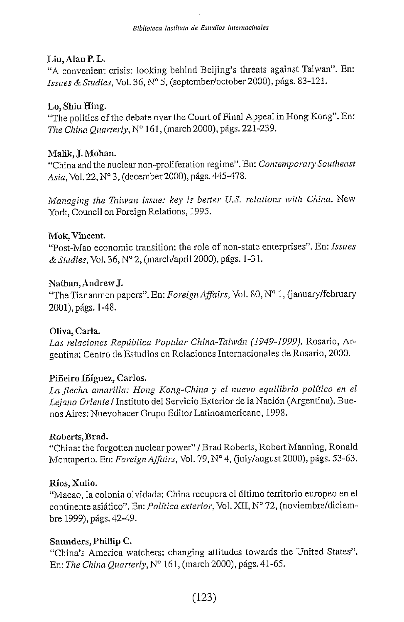#### **Liu, Alan P. L.**

"A convenient crisis: looking behind Beijing's threats against Taiwan". En: *Issues & Studies,* Yol. 36, N° 5, (september/october2000), págs. 83-121.

### **Lo, Shiu Hing.**

"The politics of the debate over the Court of Final Appeal in Hong Kong". En: *The China Qiiarterly,* N° 1 61 , (march 2000), págs. 221-239.

### **Malik, J. Mohán.**

"China and the nuclear non-proliferation regime". En: *Contemporary Southeast Asia,* Yol. 22, N° 3, (december2000), págs. 445-478.

*Managing the Taiwan issue: key is better U.S. relations wíth China.* New York, Council on Foreign Relations, 1995.

### Mok, Vincent.

"Post-Mao economic transition: the role of non-state enterprises". En: *Issues & Studies,* Yol. 36, N° 2, (march/april 2000), págs. 1-31 .

### **Nathan, Andrew J.**

"The Tiananmen papers". En: *Foreign Affaírs,* Yol. 80, N° 1 , (january/february 2001), págs. 1-48.

# **Oliva, Carla.**

*Las relaciones República Popular China-Tahván (1949-1999).* Rosario, Argentina: Centro de Estudios en Relaciones Internacionales de Rosario, 2000.

# **Piñeiro Iñíguez, Carlos.**

*La flecha amarilla: Hong Kong-China y el nuevo equilibrio político en el Lejano Oriente I* Instituto del Servicio Exterior de la Nación (Argentina), Buenos Aires: Nuevohacer Grupo Editor Latinoamericano, 1998.

#### Roberts, Brad.

"China: the forgotten nuclear power" / Brad Roberts, Robert Manning, Ronald Montaperto. En: *Foreign Affairs,* Yol. 79, N° 4, Quly/august 2000), págs. 53-63.

#### **j Xulio.**

"Macao, la colonia olvidada: China recupera el último territorio europeo en el continente asiático". En: *Política exterior,* Yol. XII, N° 72, (noviembre/diciembre 1999), págs. 42-49.

# Saunders, Phillip C.

"China's America watchers: changing attitudes towards the United States". En: *The ChinaQuarterly,NQ* 161, (march 2000), págs. 41-65.

# (123)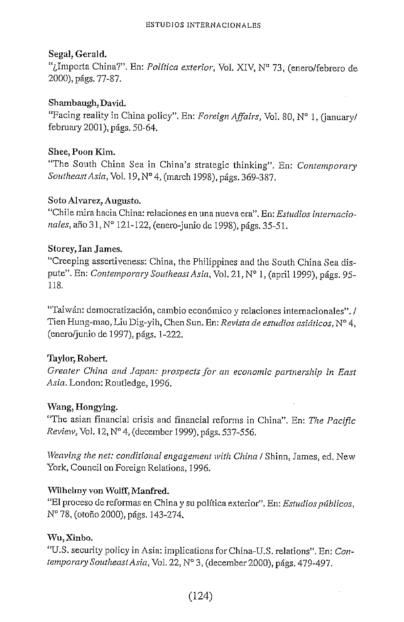### Segal, Gerald.

"¿Importa China?". En: *Política exterior,* Yol. XIV, N° 73, (enero/febrero de 2000), págs. 77-87.

### Shambaugh, David.

"Facing reality in China policy". En: *Foreign Affairs,* Yol. 80, N° 1, (january/ february 2001), págs. 50-64.

### Shee, Poon Kim.

"The South China Sea in China's strategíc thinking". En: *Contemporaiy SoutheastAsia,Vo\.* 19,N°4, (march 1998),págs. 369-387.

# Soto Alvarez, Augusto.

"Chile mira hacia China: relaciones en una nueva era". En; *Estudios internacionales,* año 31, N° 121-122, (enero-junio de 1998), págs. 35-51.

# Storey, lan James.

"Creeping assertiveness; China, the Philippínes and the South China Sea dispute". En: *Contemporary Southeast Asia,* Yol. 21, N° 1, (april 1999), págs. 95- 118.

"Taiwán: democratización, cambio económico y relaciones internacionales". / Tien Hung-mao, Liu Dig-yih, Chen Sun. En: *Revista de estudios asiáticos,* N° 4, (enero/junio de 1997), págs. 1-222.

# Taylor, Robert

*Greater China and Jopan: prospecís for an economic partnership in East Asia.* London: Routledge, 1996.

# Wang, Hongying.

"The asian financial crisis and financial reforms in China". En: *The Pacific Review,* Yol. 12, N° 4, (december 1999), págs. 537-556.

*Weaving the net: conditional engagement with China / Shinn, James, ed. New* York, Council on Foreign Relations, 1996.

# Wilhelmy von Wolff, Manfred.

"El proceso de reformas en China y su política exterior". En: *Estudios públicos,* N° 78, (otoño 2000), págs. 143-274.

# Wu,Xinbo.

"U.S. security policy in Asia: implications for China-U.S. relations". En: *Contemporary Southeast Asia,* Yol. 22, N° 3, (december 2000), págs. 479-497.